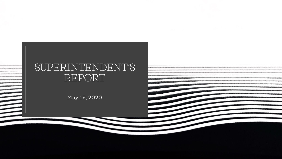# SUPERINTENDENT'S REPORT

May 19, 2020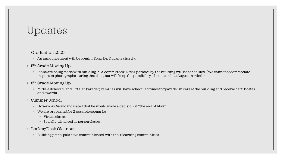## Updates

- Graduation 2020
	- An announcement will be coming from Dr. Durante shortly.
- $\, \circ \,$  5<sup>th</sup> Grade Moving Up
	- Plans are being made with building PTA committees; A "car parade" by the building will be scheduled. (We cannot accommodate in-person photographs during that time, but will keep the possibility of a date in late August in mind.)
- ∘ 8<sup>th</sup> Grade Moving Up
	- Middle School "Send Off Car Parade"; Families will have scheduled times to "parade" in cars at the building and receive certificates and awards.
- Summer School
	- Governor Cuomo indicated that he would make a decision at "the end of May"
	- We are preparing for 2 possible scenarios:
		- Virtual classes
		- Socially-distanced in-person classes
- Locker/Desk Cleanout
	- Building principals have communicated with their learning communities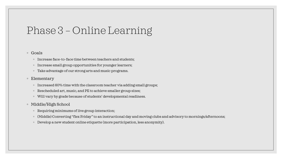## Phase 3 – Online Learning

#### ◦ Goals

- Increase face-to-face time between teachers and students;
- Increase small group opportunities for younger learners;
- Take advantage of our strong arts and music programs.

#### ◦ Elementary

- Increased 60% time with the classroom teacher via adding small groups;
- Rescheduled art, music, and PE to achieve smaller group sizes;
- Will vary by grade because of students' developmental readiness.
- Middle/High School
	- Requiring minimums of live group interaction;
	- (Middle) Converting "flex Friday" to an instructional day and moving clubs and advisory to mornings/afternoons;
	- Develop a new student online etiquette (more participation, less anonymity).